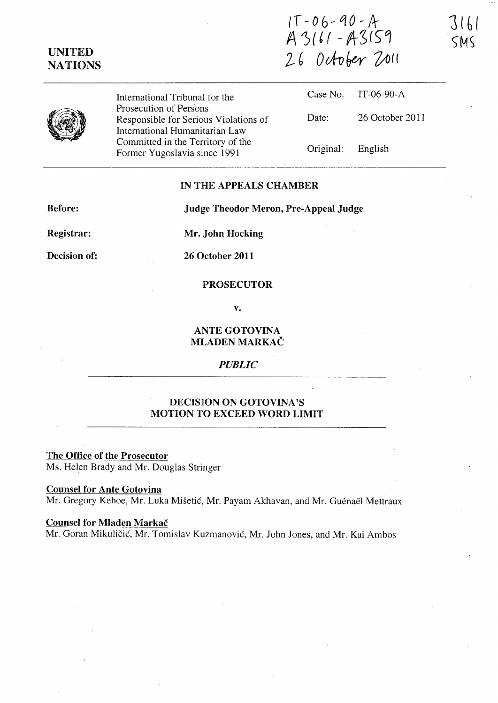# UNITED **NATIONS**

 $1T - 06 - 90 - A$  $A 3161 - A3159$ *l* ~ *Ockofpy-* Vol(



International Tribunal for the Prosecution of Persons Responsible for Serious Violations of International Humanitarian Law Committed in the Territory of the Former Yugoslavia since 1991

|                   | Case No. IT-06-90-A |
|-------------------|---------------------|
| Date:             | 26 October 2011     |
| Original: English |                     |

### IN THE APPEALS CHAMBER

Before:

Judge Theodor Meron, Pre-Appeal Judge

Registrar:

Decision of:

Mr. John Hocking

26 October 2011

## PROSECUTOR

v.

ANTE GOTOVINA MLADEN MARKAC

#### *PUBLIC*

# DECISION ON GOTOVINA'S MOTION TO EXCEED WORD LIMIT

The Office of the Prosecutor Ms. Helen Brady and Mr. Douglas Stringer

#### Counsel for Ante Gotovina

Mr. Gregory Kehoe, Mr. Luka Misetié, Mr. Payam Akhavan, and Mr. Guénaël Mettraux

### Counsel for Mladen Markač

Mr. Goran Mikuličić, Mr. Tomislav Kuzmanović, Mr. John Jones, and Mr. Kai Ambos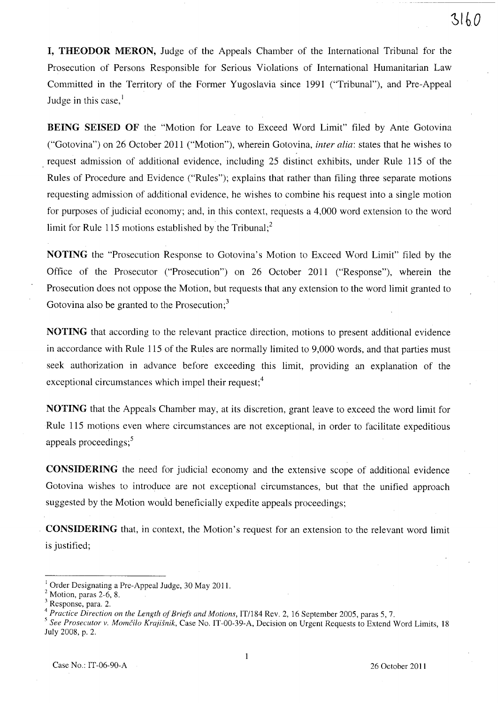l, THEODOR MERON, Judge of the Appeals Chamber of the International Tribunal for the Prosecution of Persons Responsible for Serious Violations of International Humanitarian Law Committed in the Territory of the Former Yugoslavia since 1991 ("Tribunal"), and Pre-Appeal Judge in this case, $<sup>1</sup>$ </sup>

BEING SEISED OF the "Motion for Leave to Exceed Word Limit" filed by Ante Gotovina ("Gotovina") on 26 October 2011 ("Motion"), wherein Gotovina, *inter alia:* states that he wishes to request admission of additional evidence, including 25 distinct exhibits, under Rule 115 of the Rules of Procedure and Evidence ("Rules"); explains that rather than filing three separate motions requesting admission of additional evidence, he wishes to combine his request into a single motion for purposes of judicial economy; and, in this context, requests a 4,000 word extension to the word limit for Rule 115 motions established by the Tribunal;<sup>2</sup>

NO TING the "Prosecution Response to Gotovina's Motion to Exceed Word Limit" filed by the Office of the Prosecutor ("Prosecution") on 26 October 2011 ("Response"), wherein the Prosecution does not oppose the Motion, but requests that any extension to the word limit granted to Gotovina also be granted to the Prosecution;<sup>3</sup>

NOTING that according to the relevant practice direction, motions to present additional evidence in accordance with Rule 115 of the Rules are normally limited to 9,000 words, and that parties must seek authorization in advance before exceeding this limit, providing an explanation of the exceptional circumstances which impel their request;<sup>4</sup>

NOTING that the Appeals Chamber may, at its discretion, grant leave to exceed the word limit for Rule 115 motions even where circumstances are not exceptional, in order to facilitate expeditious appeals proceedings;<sup>5</sup>

CONSIDERING the need for judicial economy and the extensive scope of additional evidence Gotovina wishes to introduce are not exceptional circumstances, but that the unified approach suggested by the Motion would beneficially expedite appeals proceedings;

CONSIDERING that, in context, the Motion's request for an extension to the relevant word limit is justified;

<sup>&</sup>lt;sup>1</sup> Order Designating a Pre-Appeal Judge, 30 May 2011.

 $2$  Motion, paras 2-6, 8.

<sup>3</sup> Response, para. 2.

<sup>&</sup>lt;sup>4</sup> Practice Direction on the Length of Briefs and Motions, IT/184 Rev. 2, 16 September 2005, paras 5, 7.

<sup>&</sup>lt;sup>5</sup> See Prosecutor v. Momčilo Krajišnik, Case No. IT-00-39-A, Decision on Urgent Requests to Extend Word Limits, 18 July 2008, p. 2.